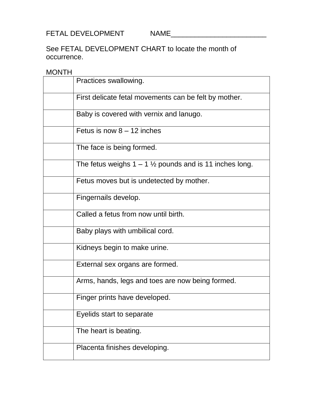FETAL DEVELOPMENT NAME\_\_\_\_\_\_\_\_\_\_\_\_\_\_\_\_\_\_\_\_\_\_\_\_

See FETAL DEVELOPMENT CHART to locate the month of occurrence.

## MONTH

| Practices swallowing.                                              |
|--------------------------------------------------------------------|
| First delicate fetal movements can be felt by mother.              |
| Baby is covered with vernix and lanugo.                            |
| Fetus is now $8 - 12$ inches                                       |
| The face is being formed.                                          |
| The fetus weighs $1 - 1 \frac{1}{2}$ pounds and is 11 inches long. |
| Fetus moves but is undetected by mother.                           |
| Fingernails develop.                                               |
| Called a fetus from now until birth.                               |
| Baby plays with umbilical cord.                                    |
| Kidneys begin to make urine.                                       |
| External sex organs are formed.                                    |
| Arms, hands, legs and toes are now being formed.                   |
| Finger prints have developed.                                      |
| Eyelids start to separate                                          |
| The heart is beating.                                              |
| Placenta finishes developing.                                      |